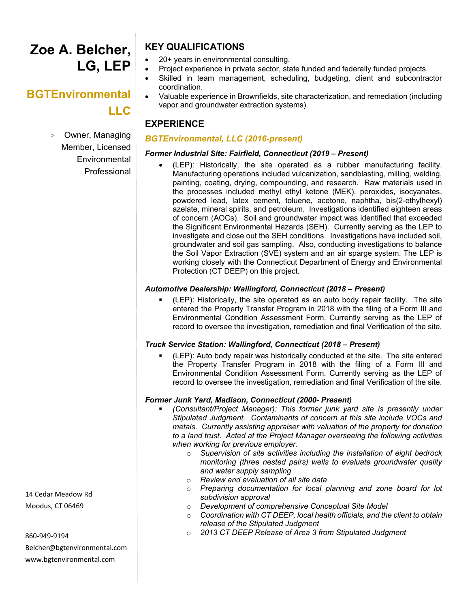# **Zoe A. Belcher, LG, LEP**

# **BGTEnvironmental LLC**

> Owner, Managing Member, Licensed **Environmental** Professional

# **KEY QUALIFICATIONS**

- 20+ years in environmental consulting.
- Project experience in private sector, state funded and federally funded projects.
- Skilled in team management, scheduling, budgeting, client and subcontractor coordination.
	- Valuable experience in Brownfields, site characterization, and remediation (including vapor and groundwater extraction systems).

# **EXPERIENCE**

# *BGTEnvironmental, LLC (2016-present)*

# *Former Industrial Site: Fairfield, Connecticut (2019 – Present)*

• (LEP): Historically, the site operated as a rubber manufacturing facility. Manufacturing operations included vulcanization, sandblasting, milling, welding, painting, coating, drying, compounding, and research. Raw materials used in the processes included methyl ethyl ketone (MEK), peroxides, isocyanates, powdered lead, latex cement, toluene, acetone, naphtha, bis(2-ethylhexyl) azelate, mineral spirits, and petroleum. Investigations identified eighteen areas of concern (AOCs). Soil and groundwater impact was identified that exceeded the Significant Environmental Hazards (SEH). Currently serving as the LEP to investigate and close out the SEH conditions. Investigations have included soil, groundwater and soil gas sampling. Also, conducting investigations to balance the Soil Vapor Extraction (SVE) system and an air sparge system. The LEP is working closely with the Connecticut Department of Energy and Environmental Protection (CT DEEP) on this project.

# *Automotive Dealership: Wallingford, Connecticut (2018 – Present)*

 (LEP): Historically, the site operated as an auto body repair facility. The site entered the Property Transfer Program in 2018 with the filing of a Form III and Environmental Condition Assessment Form. Currently serving as the LEP of record to oversee the investigation, remediation and final Verification of the site.

# *Truck Service Station: Wallingford, Connecticut (2018 – Present)*

 (LEP): Auto body repair was historically conducted at the site. The site entered the Property Transfer Program in 2018 with the filing of a Form III and Environmental Condition Assessment Form. Currently serving as the LEP of record to oversee the investigation, remediation and final Verification of the site.

# *Former Junk Yard, Madison, Connecticut (2000- Present)*

- *(Consultant/Project Manager): This former junk yard site is presently under Stipulated Judgment. Contaminants of concern at this site include VOCs and metals. Currently assisting appraiser with valuation of the property for donation to a land trust. Acted at the Project Manager overseeing the following activities when working for previous employer.* 
	- o *Supervision of site activities including the installation of eight bedrock monitoring (three nested pairs) wells to evaluate groundwater quality and water supply sampling*
	- o *Review and evaluation of all site data*
	- *Preparing documentation for local planning and zone board for lot subdivision approval*
	- o *Development of comprehensive Conceptual Site Model*
	- o *Coordination with CT DEEP, local health officials, and the client to obtain release of the Stipulated Judgment*
	- o *2013 CT DEEP Release of Area 3 from Stipulated Judgment*

14 Cedar Meadow Rd Moodus, CT 06469

860-949-9194

Belcher@bgtenvironmental.com www.bgtenvironmental.com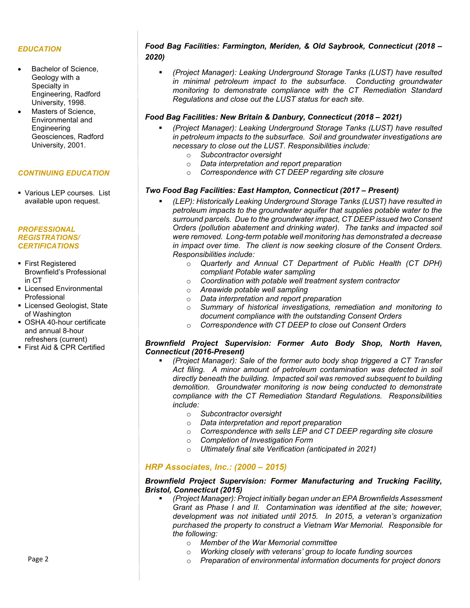### *EDUCATION*

- Bachelor of Science. Geology with a Specialty in Engineering, Radford University, 1998.
- Masters of Science. Environmental and **Engineering** Geosciences, Radford University, 2001.

## *CONTINUING EDUCATION*

 Various LEP courses. List available upon request.

#### *PROFESSIONAL REGISTRATIONS/ CERTIFICATIONS*

- **First Registered** Brownfield's Professional in CT
- **Licensed Environmental** Professional
- **Exercised Geologist, State** of Washington
- OSHA 40-hour certificate and annual 8-hour refreshers (current)
- First Aid & CPR Certified

# *Food Bag Facilities: Farmington, Meriden, & Old Saybrook, Connecticut (2018 – 2020)*

 *(Project Manager): Leaking Underground Storage Tanks (LUST) have resulted in minimal petroleum impact to the subsurface. Conducting groundwater monitoring to demonstrate compliance with the CT Remediation Standard Regulations and close out the LUST status for each site.*

#### *Food Bag Facilities: New Britain & Danbury, Connecticut (2018 – 2021)*

- *(Project Manager): Leaking Underground Storage Tanks (LUST) have resulted in petroleum impacts to the subsurface. Soil and groundwater investigations are necessary to close out the LUST. Responsibilities include:*
	- o *Subcontractor oversight*
	- o *Data interpretation and report preparation*
	- o *Correspondence with CT DEEP regarding site closure*

## *Two Food Bag Facilities: East Hampton, Connecticut (2017 – Present)*

- *(LEP): Historically Leaking Underground Storage Tanks (LUST) have resulted in petroleum impacts to the groundwater aquifer that supplies potable water to the surround parcels. Due to the groundwater impact, CT DEEP issued two Consent Orders (pollution abatement and drinking water). The tanks and impacted soil were removed. Long-term potable well monitoring has demonstrated a decrease in impact over time. The client is now seeking closure of the Consent Orders. Responsibilities include:*
	- o *Quarterly and Annual CT Department of Public Health (CT DPH) compliant Potable water sampling*
	- o *Coordination with potable well treatment system contractor*
	- o *Areawide potable well sampling*
	- o *Data interpretation and report preparation*
	- o *Summary of historical investigations, remediation and monitoring to document compliance with the outstanding Consent Orders*
	- o *Correspondence with CT DEEP to close out Consent Orders*

#### *Brownfield Project Supervision: Former Auto Body Shop, North Haven, Connecticut (2016-Present)*

- *(Project Manager): Sale of the former auto body shop triggered a CT Transfer Act filing. A minor amount of petroleum contamination was detected in soil directly beneath the building. Impacted soil was removed subsequent to building demolition. Groundwater monitoring is now being conducted to demonstrate compliance with the CT Remediation Standard Regulations. Responsibilities include:*
	- o *Subcontractor oversight*
	- o *Data interpretation and report preparation*
	- o *Correspondence with sells LEP and CT DEEP regarding site closure*
	- o *Completion of Investigation Form*
	- o *Ultimately final site Verification (anticipated in 2021)*

## *HRP Associates, Inc.: (2000 – 2015)*

## *Brownfield Project Supervision: Former Manufacturing and Trucking Facility, Bristol, Connecticut (2015)*

- *(Project Manager): Project initially began under an EPA Brownfields Assessment Grant as Phase I and II. Contamination was identified at the site; however, development was not initiated until 2015. In 2015, a veteran's organization purchased the property to construct a Vietnam War Memorial. Responsible for the following:*
	- o *Member of the War Memorial committee*
	- o *Working closely with veterans' group to locate funding sources*
	- o *Preparation of environmental information documents for project donors*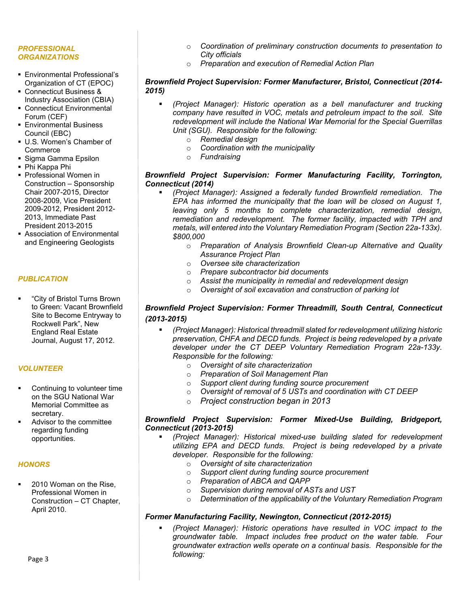#### *PROFESSIONAL ORGANIZATIONS*

- Environmental Professional's Organization of CT (EPOC)
- Connecticut Business & Industry Association (CBIA)
- Connecticut Environmental Forum (CEF)
- **Environmental Business** Council (EBC)
- U.S. Women's Chamber of **Commerce**
- Sigma Gamma Epsilon
- Phi Kappa Phi
- **Professional Women in** Construction – Sponsorship Chair 2007-2015, Director 2008-2009, Vice President 2009-2012, President 2012- 2013, Immediate Past President 2013-2015
- Association of Environmental and Engineering Geologists

# *PUBLICATION*

 "City of Bristol Turns Brown to Green: Vacant Brownfield Site to Become Entryway to Rockwell Park", New England Real Estate Journal, August 17, 2012.

# *VOLUNTEER*

- Continuing to volunteer time on the SGU National War Memorial Committee as secretary.
- Advisor to the committee regarding funding opportunities.

# *HONORS*

 2010 Woman on the Rise, Professional Women in Construction – CT Chapter, April 2010.

- o *Coordination of preliminary construction documents to presentation to City officials*
- o *Preparation and execution of Remedial Action Plan*

## *Brownfield Project Supervision: Former Manufacturer, Bristol, Connecticut (2014- 2015)*

- *(Project Manager): Historic operation as a bell manufacturer and trucking company have resulted in VOC, metals and petroleum impact to the soil. Site redevelopment will include the National War Memorial for the Special Guerrillas Unit (SGU). Responsible for the following:*
	- o *Remedial design*
	- o *Coordination with the municipality*
	- o *Fundraising*

# *Brownfield Project Supervision: Former Manufacturing Facility, Torrington, Connecticut (2014)*

- *(Project Manager): Assigned a federally funded Brownfield remediation. The EPA has informed the municipality that the loan will be closed on August 1, leaving only 5 months to complete characterization, remedial design, remediation and redevelopment. The former facility, impacted with TPH and metals, will entered into the Voluntary Remediation Program (Section 22a-133x). \$800,000*
	- o *Preparation of Analysis Brownfield Clean-up Alternative and Quality Assurance Project Plan*
	- o *Oversee site characterization*
	- o *Prepare subcontractor bid documents*
	- o *Assist the municipality in remedial and redevelopment design*
	- o *Oversight of soil excavation and construction of parking lot*

# *Brownfield Project Supervision: Former Threadmill, South Central, Connecticut (2013-2015)*

- *(Project Manager): Historical threadmill slated for redevelopment utilizing historic preservation, CHFA and DECD funds. Project is being redeveloped by a private developer under the CT DEEP Voluntary Remediation Program 22a-133y. Responsible for the following:*
	- o *Oversight of site characterization*
	-
	- o *Preparation of Soil Management Plan* Support client during funding source procurement
	- o *Oversight of removal of 5 USTs and coordination with CT DEEP*
	- o *Project construction began in 2013*

## *Brownfield Project Supervision: Former Mixed-Use Building, Bridgeport, Connecticut (2013-2015)*

- *(Project Manager): Historical mixed-use building slated for redevelopment utilizing EPA and DECD funds. Project is being redeveloped by a private developer. Responsible for the following:*
	- o *Oversight of site characterization*
	- o *Support client during funding source procurement*
	- **Preparation of ABCA and QAPP**
	- o *Supervision during removal of ASTs and UST*
	- Determination of the applicability of the Voluntary Remediation Program

# *Former Manufacturing Facility, Newington, Connecticut (2012-2015)*

 *(Project Manager): Historic operations have resulted in VOC impact to the groundwater table. Impact includes free product on the water table. Four groundwater extraction wells operate on a continual basis. Responsible for the following:*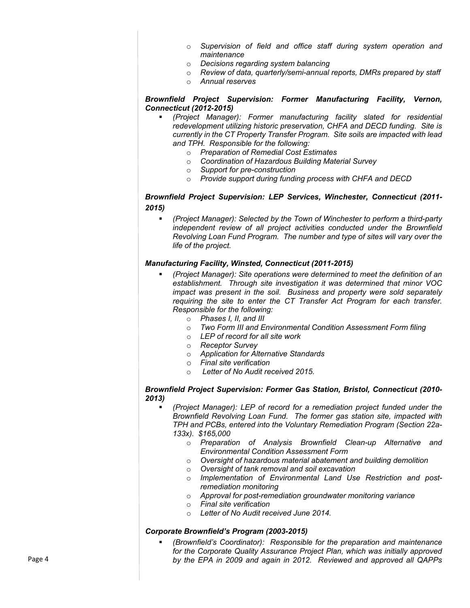- o *Supervision of field and office staff during system operation and maintenance*
- o *Decisions regarding system balancing*
- o *Review of data, quarterly/semi-annual reports, DMRs prepared by staff*
- o *Annual reserves*

## *Brownfield Project Supervision: Former Manufacturing Facility, Vernon, Connecticut (2012-2015)*

- *(Project Manager): Former manufacturing facility slated for residential redevelopment utilizing historic preservation, CHFA and DECD funding. Site is currently in the CT Property Transfer Program. Site soils are impacted with lead and TPH. Responsible for the following:*
	- o *Preparation of Remedial Cost Estimates*
	- o *Coordination of Hazardous Building Material Survey*
	- o *Support for pre-construction*
	- o *Provide support during funding process with CHFA and DECD*

# *Brownfield Project Supervision: LEP Services, Winchester, Connecticut (2011- 2015)*

 *(Project Manager): Selected by the Town of Winchester to perform a third-party independent review of all project activities conducted under the Brownfield Revolving Loan Fund Program. The number and type of sites will vary over the life of the project.*

## *Manufacturing Facility, Winsted, Connecticut (2011-2015)*

- *(Project Manager): Site operations were determined to meet the definition of an establishment. Through site investigation it was determined that minor VOC impact was present in the soil. Business and property were sold separately requiring the site to enter the CT Transfer Act Program for each transfer. Responsible for the following:*
	- o *Phases I, II, and III*
	- o *Two Form III and Environmental Condition Assessment Form filing*
	- o *LEP of record for all site work*
	- o *Receptor Survey*
	- o *Application for Alternative Standards*
	- o *Final site verification*
	- o *Letter of No Audit received 2015.*

## *Brownfield Project Supervision: Former Gas Station, Bristol, Connecticut (2010- 2013)*

- *(Project Manager): LEP of record for a remediation project funded under the Brownfield Revolving Loan Fund. The former gas station site, impacted with TPH and PCBs, entered into the Voluntary Remediation Program (Section 22a-133x). \$165,000*
	- o *Preparation of Analysis Brownfield Clean-up Alternative and Environmental Condition Assessment Form*
	- o *Oversight of hazardous material abatement and building demolition*
	- o *Oversight of tank removal and soil excavation*
	- o *Implementation of Environmental Land Use Restriction and postremediation monitoring*
	- o *Approval for post-remediation groundwater monitoring variance*
	- o *Final site verification*
	- o *Letter of No Audit received June 2014.*

## *Corporate Brownfield's Program (2003-2015)*

 *(Brownfield's Coordinator): Responsible for the preparation and maintenance for the Corporate Quality Assurance Project Plan, which was initially approved by the EPA in 2009 and again in 2012. Reviewed and approved all QAPPs*